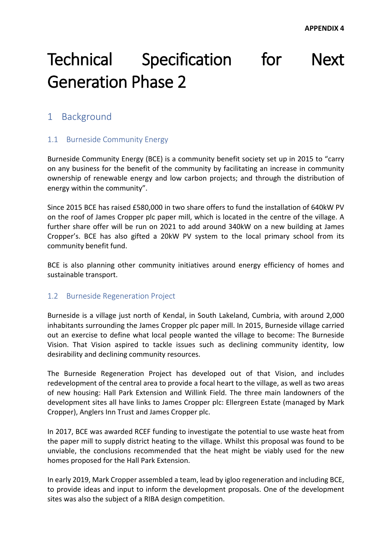# Technical Specification for Next Generation Phase 2

# 1 Background

#### 1.1 Burneside Community Energy

Burneside Community Energy (BCE) is a community benefit society set up in 2015 to "carry on any business for the benefit of the community by facilitating an increase in community ownership of renewable energy and low carbon projects; and through the distribution of energy within the community".

Since 2015 BCE has raised £580,000 in two share offers to fund the installation of 640kW PV on the roof of James Cropper plc paper mill, which is located in the centre of the village. A further share offer will be run on 2021 to add around 340kW on a new building at James Cropper's. BCE has also gifted a 20kW PV system to the local primary school from its community benefit fund.

BCE is also planning other community initiatives around energy efficiency of homes and sustainable transport.

#### 1.2 Burneside Regeneration Project

Burneside is a village just north of Kendal, in South Lakeland, Cumbria, with around 2,000 inhabitants surrounding the James Cropper plc paper mill. In 2015, Burneside village carried out an exercise to define what local people wanted the village to become: The Burneside Vision. That Vision aspired to tackle issues such as declining community identity, low desirability and declining community resources.

The Burneside Regeneration Project has developed out of that Vision, and includes redevelopment of the central area to provide a focal heart to the village, as well as two areas of new housing: Hall Park Extension and Willink Field. The three main landowners of the development sites all have links to James Cropper plc: Ellergreen Estate (managed by Mark Cropper), Anglers Inn Trust and James Cropper plc.

In 2017, BCE was awarded RCEF funding to investigate the potential to use waste heat from the paper mill to supply district heating to the village. Whilst this proposal was found to be unviable, the conclusions recommended that the heat might be viably used for the new homes proposed for the Hall Park Extension.

In early 2019, Mark Cropper assembled a team, lead by igloo regeneration and including BCE, to provide ideas and input to inform the development proposals. One of the development sites was also the subject of a RIBA design competition.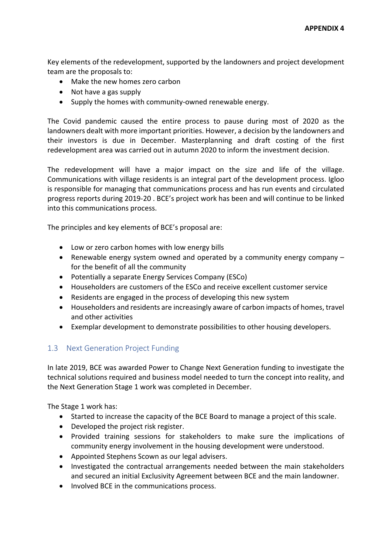Key elements of the redevelopment, supported by the landowners and project development team are the proposals to:

- Make the new homes zero carbon
- Not have a gas supply
- Supply the homes with community-owned renewable energy.

The Covid pandemic caused the entire process to pause during most of 2020 as the landowners dealt with more important priorities. However, a decision by the landowners and their investors is due in December. Masterplanning and draft costing of the first redevelopment area was carried out in autumn 2020 to inform the investment decision.

The redevelopment will have a major impact on the size and life of the village. Communications with village residents is an integral part of the development process. Igloo is responsible for managing that communications process and has run events and circulated progress reports during 2019-20 . BCE's project work has been and will continue to be linked into this communications process.

The principles and key elements of BCE's proposal are:

- Low or zero carbon homes with low energy bills
- Renewable energy system owned and operated by a community energy company for the benefit of all the community
- Potentially a separate Energy Services Company (ESCo)
- Householders are customers of the ESCo and receive excellent customer service
- Residents are engaged in the process of developing this new system
- Householders and residents are increasingly aware of carbon impacts of homes, travel and other activities
- Exemplar development to demonstrate possibilities to other housing developers.

#### 1.3 Next Generation Project Funding

In late 2019, BCE was awarded Power to Change Next Generation funding to investigate the technical solutions required and business model needed to turn the concept into reality, and the Next Generation Stage 1 work was completed in December.

The Stage 1 work has:

- Started to increase the capacity of the BCE Board to manage a project of this scale.
- Developed the project risk register.
- Provided training sessions for stakeholders to make sure the implications of community energy involvement in the housing development were understood.
- Appointed Stephens Scown as our legal advisers.
- Investigated the contractual arrangements needed between the main stakeholders and secured an initial Exclusivity Agreement between BCE and the main landowner.
- Involved BCE in the communications process.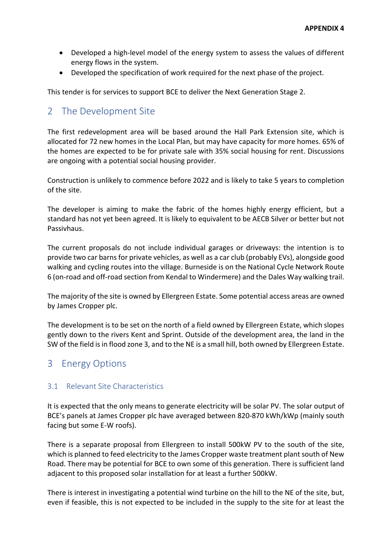- Developed a high-level model of the energy system to assess the values of different energy flows in the system.
- Developed the specification of work required for the next phase of the project.

This tender is for services to support BCE to deliver the Next Generation Stage 2.

### 2 The Development Site

The first redevelopment area will be based around the Hall Park Extension site, which is allocated for 72 new homes in the Local Plan, but may have capacity for more homes. 65% of the homes are expected to be for private sale with 35% social housing for rent. Discussions are ongoing with a potential social housing provider.

Construction is unlikely to commence before 2022 and is likely to take 5 years to completion of the site.

The developer is aiming to make the fabric of the homes highly energy efficient, but a standard has not yet been agreed. It is likely to equivalent to be AECB Silver or better but not Passivhaus.

The current proposals do not include individual garages or driveways: the intention is to provide two car barns for private vehicles, as well as a car club (probably EVs), alongside good walking and cycling routes into the village. Burneside is on the National Cycle Network Route 6 (on-road and off-road section from Kendal to Windermere) and the Dales Way walking trail.

The majority of the site is owned by Ellergreen Estate. Some potential access areas are owned by James Cropper plc.

The development is to be set on the north of a field owned by Ellergreen Estate, which slopes gently down to the rivers Kent and Sprint. Outside of the development area, the land in the SW of the field is in flood zone 3, and to the NE is a small hill, both owned by Ellergreen Estate.

# 3 Energy Options

#### 3.1 Relevant Site Characteristics

It is expected that the only means to generate electricity will be solar PV. The solar output of BCE's panels at James Cropper plc have averaged between 820-870 kWh/kWp (mainly south facing but some E-W roofs).

There is a separate proposal from Ellergreen to install 500kW PV to the south of the site, which is planned to feed electricity to the James Cropper waste treatment plant south of New Road. There may be potential for BCE to own some of this generation. There is sufficient land adjacent to this proposed solar installation for at least a further 500kW.

There is interest in investigating a potential wind turbine on the hill to the NE of the site, but, even if feasible, this is not expected to be included in the supply to the site for at least the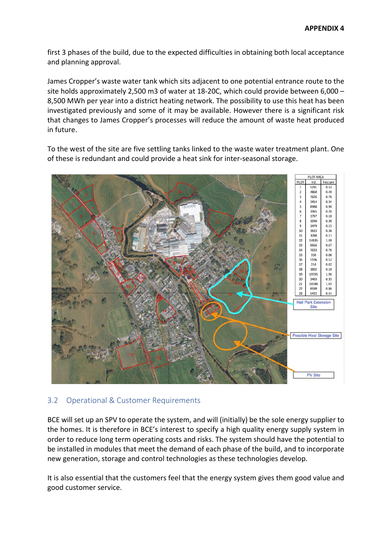first 3 phases of the build, due to the expected difficulties in obtaining both local acceptance and planning approval.

James Cropper's waste water tank which sits adjacent to one potential entrance route to the site holds approximately 2,500 m3 of water at 18-20C, which could provide between 6,000 – 8,500 MWh per year into a district heating network. The possibility to use this heat has been investigated previously and some of it may be available. However there is a significant risk that changes to James Cropper's processes will reduce the amount of waste heat produced in future.

To the west of the site are five settling tanks linked to the waste water treatment plant. One of these is redundant and could provide a heat sink for inter-seasonal storage.



#### 3.2 Operational & Customer Requirements

BCE will set up an SPV to operate the system, and will (initially) be the sole energy supplier to the homes. It is therefore in BCE's interest to specify a high quality energy supply system in order to reduce long term operating costs and risks. The system should have the potential to be installed in modules that meet the demand of each phase of the build, and to incorporate new generation, storage and control technologies as these technologies develop.

It is also essential that the customers feel that the energy system gives them good value and good customer service.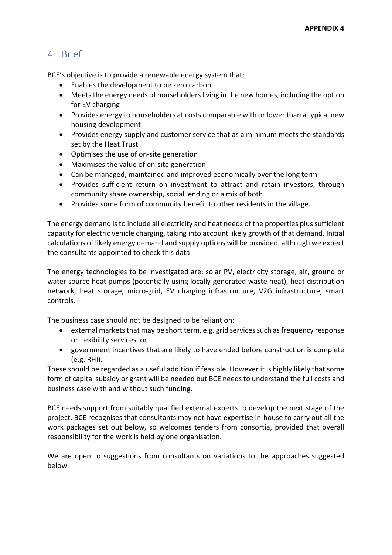# 4 Brief

BCE's objective is to provide a renewable energy system that:

- Enables the development to be zero carbon
- Meets the energy needs of householders living in the new homes, including the option for EV charging
- Provides energy to householders at costs comparable with or lower than a typical new housing development
- Provides energy supply and customer service that as a minimum meets the standards set by the Heat Trust
- Optimises the use of on-site generation
- Maximises the value of on-site generation
- Can be managed, maintained and improved economically over the long term
- Provides sufficient return on investment to attract and retain investors, through community share ownership, social lending or a mix of both
- Provides some form of community benefit to other residents in the village.

The energy demand is to include all electricity and heat needs of the properties plus sufficient capacity for electric vehicle charging, taking into account likely growth of that demand. Initial calculations of likely energy demand and supply options will be provided, although we expect the consultants appointed to check this data.

The energy technologies to be investigated are: solar PV, electricity storage, air, ground or water source heat pumps (potentially using locally-generated waste heat), heat distribution network, heat storage, micro-grid, EV charging infrastructure, V2G infrastructure, smart controls.

The business case should not be designed to be reliant on:

- external markets that may be short term, e.g. grid services such as frequency response or flexibility services, or
- government incentives that are likely to have ended before construction is complete (e.g. RHI).

These should be regarded as a useful addition if feasible. However it is highly likely that some form of capital subsidy or grant will be needed but BCE needs to understand the full costs and business case with and without such funding.

BCE needs support from suitably qualified external experts to develop the next stage of the project. BCE recognises that consultants may not have expertise in-house to carry out all the work packages set out below, so welcomes tenders from consortia, provided that overall responsibility for the work is held by one organisation.

We are open to suggestions from consultants on variations to the approaches suggested below.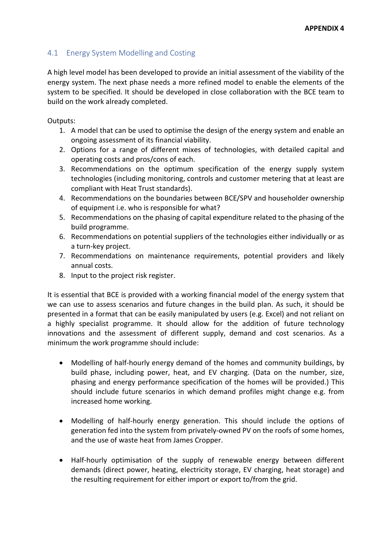#### 4.1 Energy System Modelling and Costing

A high level model has been developed to provide an initial assessment of the viability of the energy system. The next phase needs a more refined model to enable the elements of the system to be specified. It should be developed in close collaboration with the BCE team to build on the work already completed.

Outputs:

- 1. A model that can be used to optimise the design of the energy system and enable an ongoing assessment of its financial viability.
- 2. Options for a range of different mixes of technologies, with detailed capital and operating costs and pros/cons of each.
- 3. Recommendations on the optimum specification of the energy supply system technologies (including monitoring, controls and customer metering that at least are compliant with Heat Trust standards).
- 4. Recommendations on the boundaries between BCE/SPV and householder ownership of equipment i.e. who is responsible for what?
- 5. Recommendations on the phasing of capital expenditure related to the phasing of the build programme.
- 6. Recommendations on potential suppliers of the technologies either individually or as a turn-key project.
- 7. Recommendations on maintenance requirements, potential providers and likely annual costs.
- 8. Input to the project risk register.

It is essential that BCE is provided with a working financial model of the energy system that we can use to assess scenarios and future changes in the build plan. As such, it should be presented in a format that can be easily manipulated by users (e.g. Excel) and not reliant on a highly specialist programme. It should allow for the addition of future technology innovations and the assessment of different supply, demand and cost scenarios. As a minimum the work programme should include:

- Modelling of half-hourly energy demand of the homes and community buildings, by build phase, including power, heat, and EV charging. (Data on the number, size, phasing and energy performance specification of the homes will be provided.) This should include future scenarios in which demand profiles might change e.g. from increased home working.
- Modelling of half-hourly energy generation. This should include the options of generation fed into the system from privately-owned PV on the roofs of some homes, and the use of waste heat from James Cropper.
- Half-hourly optimisation of the supply of renewable energy between different demands (direct power, heating, electricity storage, EV charging, heat storage) and the resulting requirement for either import or export to/from the grid.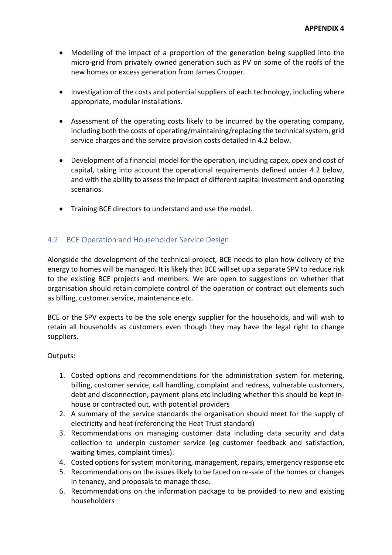- Modelling of the impact of a proportion of the generation being supplied into the micro-grid from privately owned generation such as PV on some of the roofs of the new homes or excess generation from James Cropper.
- Investigation of the costs and potential suppliers of each technology, including where appropriate, modular installations.
- Assessment of the operating costs likely to be incurred by the operating company, including both the costs of operating/maintaining/replacing the technical system, grid service charges and the service provision costs detailed in 4.2 below.
- Development of a financial model for the operation, including capex, opex and cost of capital, taking into account the operational requirements defined under 4.2 below, and with the ability to assess the impact of different capital investment and operating scenarios.
- Training BCE directors to understand and use the model.

#### 4.2 BCE Operation and Householder Service Design

Alongside the development of the technical project, BCE needs to plan how delivery of the energy to homes will be managed. It is likely that BCE will set up a separate SPV to reduce risk to the existing BCE projects and members. We are open to suggestions on whether that organisation should retain complete control of the operation or contract out elements such as billing, customer service, maintenance etc.

BCE or the SPV expects to be the sole energy supplier for the households, and will wish to retain all households as customers even though they may have the legal right to change suppliers.

#### Outputs:

- 1. Costed options and recommendations for the administration system for metering, billing, customer service, call handling, complaint and redress, vulnerable customers, debt and disconnection, payment plans etc including whether this should be kept inhouse or contracted out, with potential providers
- 2. A summary of the service standards the organisation should meet for the supply of electricity and heat (referencing the Heat Trust standard)
- 3. Recommendations on managing customer data including data security and data collection to underpin customer service (eg customer feedback and satisfaction, waiting times, complaint times).
- 4. Costed options for system monitoring, management, repairs, emergency response etc
- 5. Recommendations on the issues likely to be faced on re-sale of the homes or changes in tenancy, and proposals to manage these.
- 6. Recommendations on the information package to be provided to new and existing householders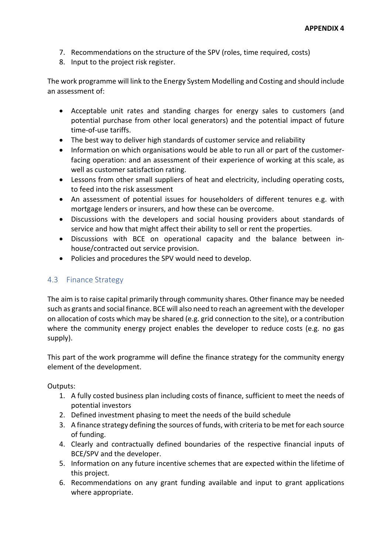- 7. Recommendations on the structure of the SPV (roles, time required, costs)
- 8. Input to the project risk register.

The work programme will link to the Energy System Modelling and Costing and should include an assessment of:

- Acceptable unit rates and standing charges for energy sales to customers (and potential purchase from other local generators) and the potential impact of future time-of-use tariffs.
- The best way to deliver high standards of customer service and reliability
- Information on which organisations would be able to run all or part of the customerfacing operation: and an assessment of their experience of working at this scale, as well as customer satisfaction rating.
- Lessons from other small suppliers of heat and electricity, including operating costs, to feed into the risk assessment
- An assessment of potential issues for householders of different tenures e.g. with mortgage lenders or insurers, and how these can be overcome.
- Discussions with the developers and social housing providers about standards of service and how that might affect their ability to sell or rent the properties.
- Discussions with BCE on operational capacity and the balance between inhouse/contracted out service provision.
- Policies and procedures the SPV would need to develop.

#### 4.3 Finance Strategy

The aim is to raise capital primarily through community shares. Other finance may be needed such as grants and social finance. BCE will also need to reach an agreement with the developer on allocation of costs which may be shared (e.g. grid connection to the site), or a contribution where the community energy project enables the developer to reduce costs (e.g. no gas supply).

This part of the work programme will define the finance strategy for the community energy element of the development.

Outputs:

- 1. A fully costed business plan including costs of finance, sufficient to meet the needs of potential investors
- 2. Defined investment phasing to meet the needs of the build schedule
- 3. A finance strategy defining the sources of funds, with criteria to be met for each source of funding.
- 4. Clearly and contractually defined boundaries of the respective financial inputs of BCE/SPV and the developer.
- 5. Information on any future incentive schemes that are expected within the lifetime of this project.
- 6. Recommendations on any grant funding available and input to grant applications where appropriate.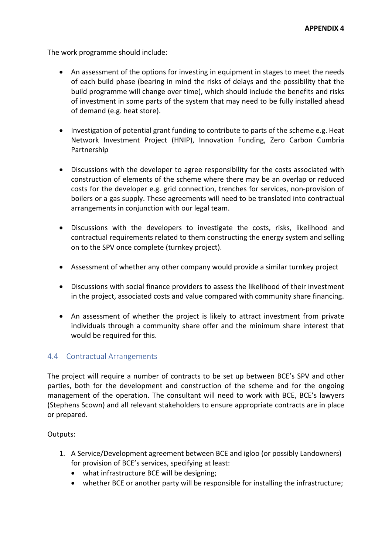The work programme should include:

- An assessment of the options for investing in equipment in stages to meet the needs of each build phase (bearing in mind the risks of delays and the possibility that the build programme will change over time), which should include the benefits and risks of investment in some parts of the system that may need to be fully installed ahead of demand (e.g. heat store).
- Investigation of potential grant funding to contribute to parts of the scheme e.g. Heat Network Investment Project (HNIP), Innovation Funding, Zero Carbon Cumbria Partnership
- Discussions with the developer to agree responsibility for the costs associated with construction of elements of the scheme where there may be an overlap or reduced costs for the developer e.g. grid connection, trenches for services, non-provision of boilers or a gas supply. These agreements will need to be translated into contractual arrangements in conjunction with our legal team.
- Discussions with the developers to investigate the costs, risks, likelihood and contractual requirements related to them constructing the energy system and selling on to the SPV once complete (turnkey project).
- Assessment of whether any other company would provide a similar turnkey project
- Discussions with social finance providers to assess the likelihood of their investment in the project, associated costs and value compared with community share financing.
- An assessment of whether the project is likely to attract investment from private individuals through a community share offer and the minimum share interest that would be required for this.

#### 4.4 Contractual Arrangements

The project will require a number of contracts to be set up between BCE's SPV and other parties, both for the development and construction of the scheme and for the ongoing management of the operation. The consultant will need to work with BCE, BCE's lawyers (Stephens Scown) and all relevant stakeholders to ensure appropriate contracts are in place or prepared.

Outputs:

- 1. A Service/Development agreement between BCE and igloo (or possibly Landowners) for provision of BCE's services, specifying at least:
	- what infrastructure BCE will be designing;
	- whether BCE or another party will be responsible for installing the infrastructure;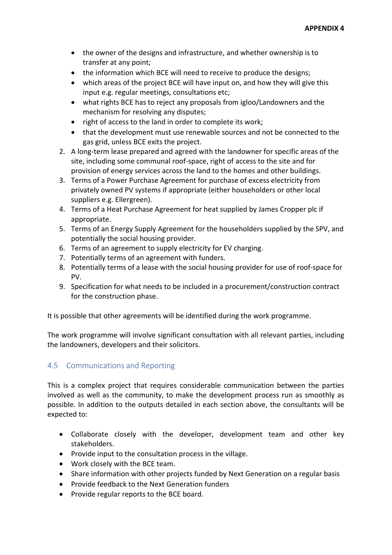- the owner of the designs and infrastructure, and whether ownership is to transfer at any point;
- the information which BCE will need to receive to produce the designs;
- which areas of the project BCE will have input on, and how they will give this input e.g. regular meetings, consultations etc;
- what rights BCE has to reject any proposals from igloo/Landowners and the mechanism for resolving any disputes;
- right of access to the land in order to complete its work;
- that the development must use renewable sources and not be connected to the gas grid, unless BCE exits the project.
- 2. A long-term lease prepared and agreed with the landowner for specific areas of the site, including some communal roof-space, right of access to the site and for provision of energy services across the land to the homes and other buildings.
- 3. Terms of a Power Purchase Agreement for purchase of excess electricity from privately owned PV systems if appropriate (either householders or other local suppliers e.g. Ellergreen).
- 4. Terms of a Heat Purchase Agreement for heat supplied by James Cropper plc if appropriate.
- 5. Terms of an Energy Supply Agreement for the householders supplied by the SPV, and potentially the social housing provider.
- 6. Terms of an agreement to supply electricity for EV charging.
- 7. Potentially terms of an agreement with funders.
- 8. Potentially terms of a lease with the social housing provider for use of roof-space for PV.
- 9. Specification for what needs to be included in a procurement/construction contract for the construction phase.

It is possible that other agreements will be identified during the work programme.

The work programme will involve significant consultation with all relevant parties, including the landowners, developers and their solicitors.

#### 4.5 Communications and Reporting

This is a complex project that requires considerable communication between the parties involved as well as the community, to make the development process run as smoothly as possible. In addition to the outputs detailed in each section above, the consultants will be expected to:

- Collaborate closely with the developer, development team and other key stakeholders.
- Provide input to the consultation process in the village.
- Work closely with the BCE team.
- Share information with other projects funded by Next Generation on a regular basis
- Provide feedback to the Next Generation funders
- Provide regular reports to the BCE board.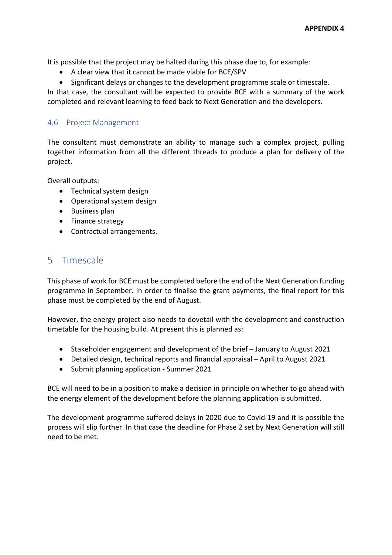It is possible that the project may be halted during this phase due to, for example:

- A clear view that it cannot be made viable for BCE/SPV
- Significant delays or changes to the development programme scale or timescale.

In that case, the consultant will be expected to provide BCE with a summary of the work completed and relevant learning to feed back to Next Generation and the developers.

#### 4.6 Project Management

The consultant must demonstrate an ability to manage such a complex project, pulling together information from all the different threads to produce a plan for delivery of the project.

Overall outputs:

- Technical system design
- Operational system design
- Business plan
- Finance strategy
- Contractual arrangements.

# 5 Timescale

This phase of work for BCE must be completed before the end of the Next Generation funding programme in September. In order to finalise the grant payments, the final report for this phase must be completed by the end of August.

However, the energy project also needs to dovetail with the development and construction timetable for the housing build. At present this is planned as:

- Stakeholder engagement and development of the brief January to August 2021
- Detailed design, technical reports and financial appraisal April to August 2021
- Submit planning application Summer 2021

BCE will need to be in a position to make a decision in principle on whether to go ahead with the energy element of the development before the planning application is submitted.

The development programme suffered delays in 2020 due to Covid-19 and it is possible the process will slip further. In that case the deadline for Phase 2 set by Next Generation will still need to be met.